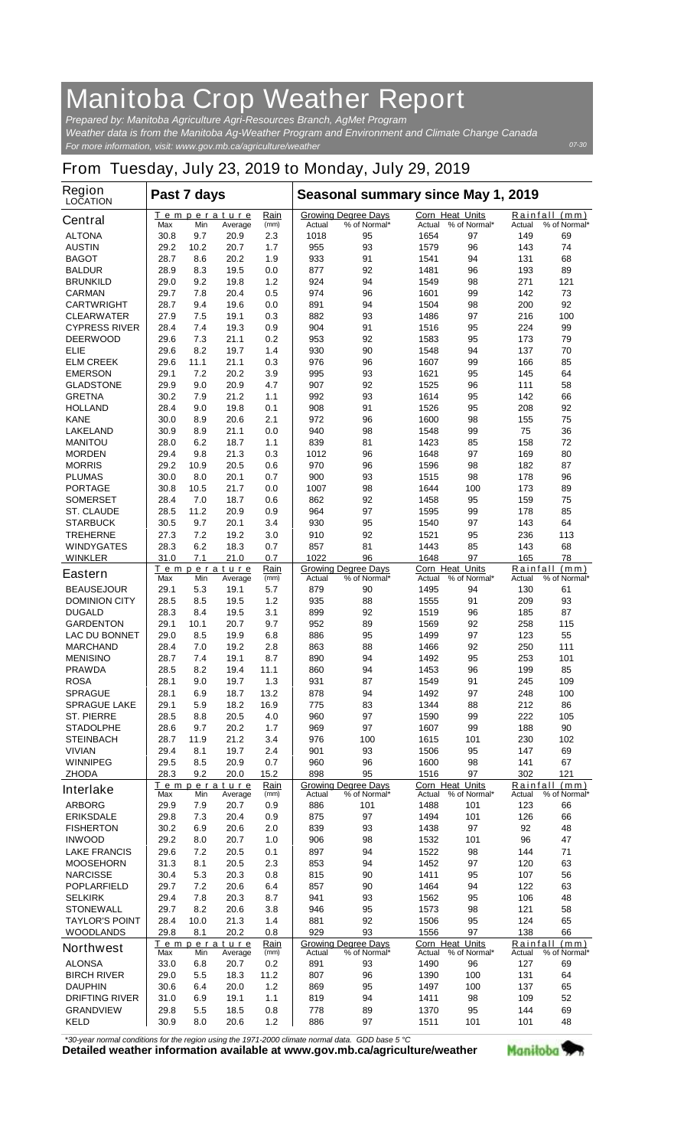## **Manitoba Crop Weather Report**

*For more information, visit: www.gov.mb.ca/agriculture/weather Prepared by: Manitoba Agriculture Agri-Resources Branch, AgMet Program Weather data is from the Manitoba Ag-Weather Program and Environment and Climate Change Canada*

## **From Tuesday, July 23, 2019 to Monday, July 29, 2019**

| <b>Region</b><br><b>LOCATION</b> |      | Past 7 days |                               |              | Seasonal summary since May 1, 2019 |                                            |               |                                        |                    |                               |  |
|----------------------------------|------|-------------|-------------------------------|--------------|------------------------------------|--------------------------------------------|---------------|----------------------------------------|--------------------|-------------------------------|--|
| <b>Central</b>                   | Max  | Min         | Temperature<br>Average        | Rain<br>(mm) | Actual                             | <b>Growing Degree Days</b><br>% of Normal* | Actual        | <b>Corn Heat Units</b><br>% of Normal* | Actual             | Rainfall (mm)<br>% of Normal* |  |
| <b>ALTONA</b>                    | 30.8 | 9.7         | 20.9                          | 2.3          | 1018                               | 95                                         | 1654          | 97                                     | 149                | 69                            |  |
| <b>AUSTIN</b>                    | 29.2 | 10.2        | 20.7                          | 1.7          | 955                                | 93                                         | 1579          | 96                                     | 143                | 74                            |  |
| <b>BAGOT</b>                     | 28.7 | 8.6         | 20.2                          | 1.9          | 933                                | 91                                         | 1541          | 94                                     | 131                | 68                            |  |
| <b>BALDUR</b>                    | 28.9 | 8.3         | 19.5                          | 0.0          | 877                                | 92                                         | 1481          | 96                                     | 193                | 89                            |  |
| <b>BRUNKILD</b>                  | 29.0 | 9.2         | 19.8                          | 1.2          | 924                                | 94                                         | 1549          | 98                                     | 271                | 121                           |  |
| <b>CARMAN</b>                    | 29.7 | 7.8         | 20.4                          | 0.5          | 974                                | 96                                         | 1601          | 99                                     | 142                | 73                            |  |
| <b>CARTWRIGHT</b>                | 28.7 | 9.4         | 19.6                          | 0.0          | 891                                | 94                                         | 1504          | 98                                     | 200                | 92                            |  |
| <b>CLEARWATER</b>                | 27.9 | 7.5         | 19.1                          | 0.3          | 882                                | 93                                         | 1486          | 97                                     | 216                | 100                           |  |
| <b>CYPRESS RIVER</b>             | 28.4 | 7.4         | 19.3                          | 0.9          | 904                                | 91                                         | 1516          | 95                                     | 224                | 99                            |  |
| <b>DEERWOOD</b>                  | 29.6 | 7.3         | 21.1                          | 0.2          | 953                                | 92                                         | 1583          | 95                                     | 173                | 79                            |  |
| ELIE                             | 29.6 | 8.2         | 19.7                          | 1.4          | 930                                | 90                                         | 1548          | 94                                     | 137                | 70                            |  |
| <b>ELM CREEK</b>                 | 29.6 | 11.1        | 21.1                          | 0.3          | 976                                | 96                                         | 1607          | 99                                     | 166                | 85                            |  |
| <b>EMERSON</b>                   | 29.1 | 7.2         | 20.2                          | 3.9          | 995                                | 93                                         | 1621          | 95                                     | 145                | 64                            |  |
| <b>GLADSTONE</b>                 | 29.9 | 9.0         | 20.9                          | 4.7          | 907                                | 92                                         | 1525          | 96                                     | 111                | 58                            |  |
| <b>GRETNA</b>                    | 30.2 | 7.9         | 21.2                          | 1.1          | 992                                | 93                                         | 1614          | 95                                     | 142                | 66                            |  |
| <b>HOLLAND</b>                   | 28.4 | 9.0         | 19.8                          | 0.1          | 908                                | 91                                         | 1526          | 95                                     | 208                | 92                            |  |
| <b>KANE</b>                      | 30.0 | 8.9         | 20.6                          | 2.1          | 972                                | 96                                         | 1600          | 98                                     | 155                | 75                            |  |
| <b>LAKELAND</b>                  | 30.9 | 8.9         | 21.1                          | 0.0          | 940                                | 98                                         | 1548          | 99                                     | 75                 | 36                            |  |
| <b>MANITOU</b>                   | 28.0 | 6.2         | 18.7                          | 1.1          | 839                                | 81                                         | 1423          | 85                                     | 158                | 72                            |  |
| <b>MORDEN</b>                    | 29.4 | 9.8         | 21.3                          | 0.3          | 1012                               | 96                                         | 1648          | 97                                     | 169                | 80                            |  |
| <b>MORRIS</b>                    | 29.2 | 10.9        | 20.5                          | 0.6          | 970                                | 96                                         | 1596          | 98                                     | 182                | 87                            |  |
| <b>PLUMAS</b>                    | 30.0 | 8.0         | 20.1                          | 0.7          | 900                                | 93                                         | 1515          | 98                                     | 178                | 96                            |  |
| <b>PORTAGE</b>                   | 30.8 | 10.5        | 21.7                          | 0.0          | 1007                               | 98                                         | 1644          | 100                                    | 173                | 89                            |  |
| <b>SOMERSET</b>                  | 28.4 | 7.0         | 18.7                          | 0.6          | 862                                | 92                                         | 1458          | 95                                     | 159                | 75                            |  |
| <b>ST. CLAUDE</b>                | 28.5 | 11.2        | 20.9                          | 0.9          | 964                                | 97                                         | 1595          | 99                                     | 178                | 85                            |  |
| <b>STARBUCK</b>                  | 30.5 | 9.7         | 20.1                          | 3.4          | 930                                | 95                                         | 1540          | 97                                     | 143                | 64                            |  |
| <b>TREHERNE</b>                  | 27.3 | 7.2         | 19.2                          | 3.0          | 910                                | 92                                         | 1521          | 95                                     | 236                | 113                           |  |
| <b>WINDYGATES</b>                | 28.3 | 6.2         | 18.3                          | 0.7          | 857                                | 81                                         | 1443          | 85                                     | 143                | 68                            |  |
| <b>WINKLER</b>                   | 31.0 | 7.1         | 21.0                          | 0.7          | 1022                               | 96                                         | 1648          | 97                                     | 165                | 78                            |  |
| <b>Eastern</b>                   | Max  | Min         | Temperature<br>Average        | Rain<br>(mm) | Actual                             | <b>Growing Degree Days</b><br>% of Normal* | Actual        | <b>Corn Heat Units</b><br>% of Normal* | Rainfall<br>Actual | (mm)<br>% of Normal*          |  |
| <b>BEAUSEJOUR</b>                | 29.1 | 5.3         | 19.1                          | 5.7          | 879                                | 90                                         | 1495          | 94                                     | 130                | 61                            |  |
| <b>DOMINION CITY</b>             | 28.5 | 8.5         | 19.5                          | 1.2          | 935                                | 88                                         | 1555          | 91                                     | 209                | 93                            |  |
| <b>DUGALD</b>                    | 28.3 | 8.4         | 19.5                          | 3.1          | 899                                | 92                                         | 1519          | 96                                     | 185                | 87                            |  |
| <b>GARDENTON</b>                 | 29.1 | 10.1        | 20.7                          | 9.7          | 952                                | 89                                         | 1569          | 92                                     | 258                | 115                           |  |
| <b>LAC DU BONNET</b>             | 29.0 | 8.5         | 19.9                          | 6.8          | 886                                | 95                                         | 1499          | 97                                     | 123                | 55                            |  |
| <b>MARCHAND</b>                  | 28.4 | 7.0         | 19.2                          | 2.8          | 863                                | 88                                         | 1466          | 92                                     | 250                | 111                           |  |
| <b>MENISINO</b>                  | 28.7 | 7.4         | 19.1                          | 8.7          | 890                                | 94                                         | 1492          | 95                                     | 253                | 101                           |  |
| <b>PRAWDA</b>                    | 28.5 | 8.2         | 19.4                          | 11.1         | 860                                | 94                                         | 1453          | 96                                     | 199                | 85                            |  |
| <b>ROSA</b>                      | 28.1 | 9.0         | 19.7                          | 1.3          | 931                                | 87                                         | 1549          | 91                                     | 245                | 109                           |  |
| <b>SPRAGUE</b>                   | 28.1 | 6.9         | 18.7                          | 13.2         | 878                                | 94                                         | 1492          | 97                                     | 248                | 100                           |  |
| <b>SPRAGUE LAKE</b>              | 29.1 | 5.9         | 18.2                          | 16.9         | 775                                | 83                                         | 1344          | 88                                     | 212                | 86                            |  |
| <b>ST. PIERRE</b>                | 28.5 | 8.8         | 20.5                          | 4.0          | 960                                | 97                                         | 1590          | 99                                     | 222                | 105                           |  |
| <b>STADOLPHE</b>                 | 28.6 | 9.7         | 20.2                          | 1.7          | 969                                | 97                                         | 1607          | 99                                     | 188                | 90                            |  |
| <b>STEINBACH</b>                 | 28.7 | 11.9        | 21.2                          | 3.4          | 976                                | 100                                        | 1615          | 101                                    | 230                | 102                           |  |
| <b>VIVIAN</b>                    | 29.4 | 8.1         | 19.7                          | 2.4          | 901                                | 93                                         | 1506          | 95                                     | 147                | 69                            |  |
| <b>WINNIPEG</b>                  | 29.5 | 8.5         | 20.9                          | 0.7          | 960                                | 96                                         | 1600          | 98                                     | 141                | 67                            |  |
| <b>ZHODA</b>                     | 28.3 | 9.2         | 20.0                          | 15.2         | 898                                | 95                                         | 1516          | 97                                     | 302                | 121                           |  |
| <b>Interlake</b>                 | Max  | Min         | <u>Temperature</u><br>Average | Rain<br>(mm) | Actual                             | <b>Growing Degree Days</b><br>% of Normal* | <b>Actual</b> | Corn Heat Units<br>% of Normal*        | Actual             | Rainfall (mm)<br>% of Normal* |  |
| <b>ARBORG</b>                    | 29.9 | 7.9         | 20.7                          | 0.9          | 886                                | 101                                        | 1488          | 101                                    | 123                | 66                            |  |
| <b>ERIKSDALE</b>                 | 29.8 | 7.3         | 20.4                          | 0.9          | 875                                | 97                                         | 1494          | 101                                    | 126                | 66                            |  |
| <b>FISHERTON</b>                 | 30.2 | 6.9         | 20.6                          | 2.0          | 839                                | 93                                         | 1438          | 97                                     | 92                 | 48                            |  |
| <b>INWOOD</b>                    | 29.2 | 8.0         | 20.7                          | 1.0          | 906                                | 98                                         | 1532          | 101                                    | 96                 | 47                            |  |
| <b>LAKE FRANCIS</b>              | 29.6 | 7.2         | 20.5                          | 0.1          | 897                                | 94                                         | 1522          | 98                                     | 144                | 71                            |  |
| <b>MOOSEHORN</b>                 | 31.3 | 8.1         | 20.5                          | 2.3          | 853                                | 94                                         | 1452          | 97                                     | 120                | 63                            |  |
| <b>NARCISSE</b>                  | 30.4 | 5.3         | 20.3                          | 0.8          | 815                                | 90                                         | 1411          | 95                                     | 107                | 56                            |  |
| <b>POPLARFIELD</b>               | 29.7 | 7.2         | 20.6                          | 6.4          | 857                                | 90                                         | 1464          | 94                                     | 122                | 63                            |  |
| <b>SELKIRK</b>                   | 29.4 | 7.8         | 20.3                          | 8.7          | 941                                | 93                                         | 1562          | 95                                     | 106                | 48                            |  |
| <b>STONEWALL</b>                 | 29.7 | 8.2         | 20.6                          | 3.8          | 946                                | 95                                         | 1573          | 98                                     | 121                | 58                            |  |
| <b>TAYLOR'S POINT</b>            | 28.4 | 10.0        | 21.3                          | 1.4          | 881                                | 92                                         | 1506          | 95                                     | 124                | 65                            |  |
| <b>WOODLANDS</b>                 | 29.8 | 8.1         | 20.2                          | 0.8          | 929                                | 93                                         | 1556          | 97                                     | 138                | 66                            |  |
|                                  |      |             | Temperature                   | Rain         |                                    | <b>Growing Degree Days</b>                 |               | Corn Heat Units                        |                    | Rainfall (mm)                 |  |
| <b>Northwest</b>                 | Max  | Min         | Average                       | (mm)         | Actual                             | % of Normal*                               |               | Actual % of Normal*                    | Actual             | % of Normal*                  |  |
| <b>ALONSA</b>                    | 33.0 | 6.8         | 20.7                          | 0.2          | 891                                | 93                                         | 1490          | 96                                     | 127                | 69                            |  |
| <b>BIRCH RIVER</b>               | 29.0 | 5.5         | 18.3                          | 11.2         | 807                                | 96                                         | 1390          | 100                                    | 131                | 64                            |  |
| <b>DAUPHIN</b>                   | 30.6 | 6.4         | 20.0                          | 1.2          | 869                                | 95                                         | 1497          | 100                                    | 137                | 65                            |  |
| <b>DRIFTING RIVER</b>            | 31.0 | 6.9         | 19.1                          | $1.1$        | 819                                | 94                                         | 1411          | 98                                     | 109                | 52                            |  |
| <b>GRANDVIEW</b>                 | 29.8 | 5.5         | 18.5                          | 0.8          | 778                                | 89                                         | 1370          | 95                                     | 144                | 69                            |  |
| <b>KELD</b>                      | 30.9 | 8.0         | 20.6                          | 1.2          | 886                                | 97                                         | 1511          | 101                                    | 101                | 48                            |  |

*\*30-year normal conditions for the region using the 1971-2000 climate normal data. GDD base 5 °C*<br>Detailed weather information available at www.gov.mb.ca/agriculture/weather